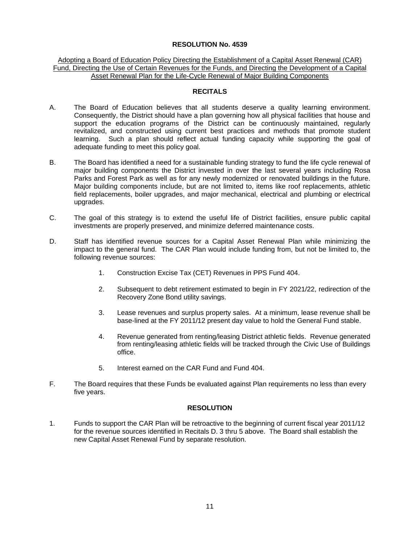### **RESOLUTION No. 4539**

#### Adopting a Board of Education Policy Directing the Establishment of a Capital Asset Renewal (CAR) Fund, Directing the Use of Certain Revenues for the Funds, and Directing the Development of a Capital Asset Renewal Plan for the Life-Cycle Renewal of Major Building Components

### **RECITALS**

- A. The Board of Education believes that all students deserve a quality learning environment. Consequently, the District should have a plan governing how all physical facilities that house and support the education programs of the District can be continuously maintained, regularly revitalized, and constructed using current best practices and methods that promote student learning. Such a plan should reflect actual funding capacity while supporting the goal of adequate funding to meet this policy goal.
- B. The Board has identified a need for a sustainable funding strategy to fund the life cycle renewal of major building components the District invested in over the last several years including Rosa Parks and Forest Park as well as for any newly modernized or renovated buildings in the future. Major building components include, but are not limited to, items like roof replacements, athletic field replacements, boiler upgrades, and major mechanical, electrical and plumbing or electrical upgrades.
- C. The goal of this strategy is to extend the useful life of District facilities, ensure public capital investments are properly preserved, and minimize deferred maintenance costs.
- D. Staff has identified revenue sources for a Capital Asset Renewal Plan while minimizing the impact to the general fund. The CAR Plan would include funding from, but not be limited to, the following revenue sources:
	- 1. Construction Excise Tax (CET) Revenues in PPS Fund 404.
	- 2. Subsequent to debt retirement estimated to begin in FY 2021/22, redirection of the Recovery Zone Bond utility savings.
	- 3. Lease revenues and surplus property sales. At a minimum, lease revenue shall be base-lined at the FY 2011/12 present day value to hold the General Fund stable.
	- 4. Revenue generated from renting/leasing District athletic fields. Revenue generated from renting/leasing athletic fields will be tracked through the Civic Use of Buildings office.
	- 5. Interest earned on the CAR Fund and Fund 404.
- F. The Board requires that these Funds be evaluated against Plan requirements no less than every five years.

# **RESOLUTION**

1. Funds to support the CAR Plan will be retroactive to the beginning of current fiscal year 2011/12 for the revenue sources identified in Recitals D. 3 thru 5 above. The Board shall establish the new Capital Asset Renewal Fund by separate resolution.